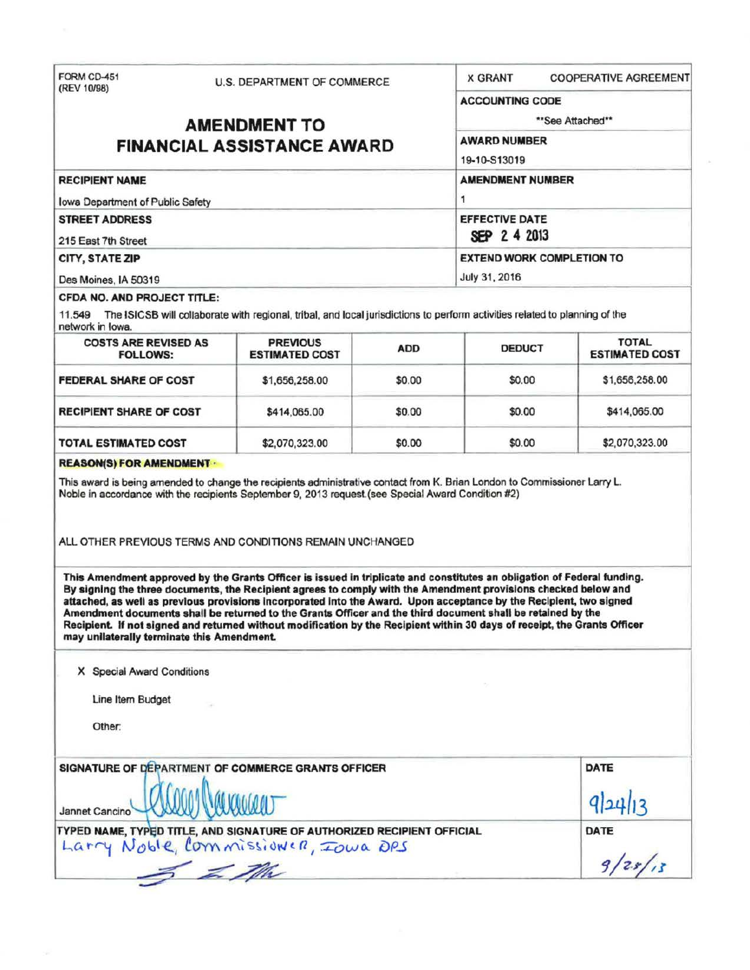| FORM CD-451                                    |  | U.S. DEPARTMENT OF COMMERCE                                                                                                                                                                                                                                                                                                                                                                                                                                                    |              | <b>X GRANT</b>                                                                                                            | <b>COOPERATIVE AGREEMENT</b>          |  |
|------------------------------------------------|--|--------------------------------------------------------------------------------------------------------------------------------------------------------------------------------------------------------------------------------------------------------------------------------------------------------------------------------------------------------------------------------------------------------------------------------------------------------------------------------|--------------|---------------------------------------------------------------------------------------------------------------------------|---------------------------------------|--|
| (REV 10/98)                                    |  |                                                                                                                                                                                                                                                                                                                                                                                                                                                                                |              | <b>ACCOUNTING CODE</b>                                                                                                    |                                       |  |
| <b>AMENDMENT TO</b>                            |  |                                                                                                                                                                                                                                                                                                                                                                                                                                                                                |              | **See Attached**                                                                                                          |                                       |  |
| <b>FINANCIAL ASSISTANCE AWARD</b>              |  |                                                                                                                                                                                                                                                                                                                                                                                                                                                                                |              | <b>AWARD NUMBER</b>                                                                                                       |                                       |  |
|                                                |  |                                                                                                                                                                                                                                                                                                                                                                                                                                                                                | 19-10-S13019 |                                                                                                                           |                                       |  |
| <b>RECIPIENT NAME</b>                          |  |                                                                                                                                                                                                                                                                                                                                                                                                                                                                                |              | <b>AMENDMENT NUMBER</b>                                                                                                   |                                       |  |
| <b>Iowa Department of Public Safety</b>        |  |                                                                                                                                                                                                                                                                                                                                                                                                                                                                                |              | 1                                                                                                                         |                                       |  |
| <b>STREET ADDRESS</b>                          |  |                                                                                                                                                                                                                                                                                                                                                                                                                                                                                |              | <b>EFFECTIVE DATE</b>                                                                                                     |                                       |  |
| 215 East 7th Street                            |  |                                                                                                                                                                                                                                                                                                                                                                                                                                                                                |              | SEP 2 4 2013                                                                                                              |                                       |  |
| CITY, STATE ZIP                                |  |                                                                                                                                                                                                                                                                                                                                                                                                                                                                                |              | <b>EXTEND WORK COMPLETION TO</b>                                                                                          |                                       |  |
| Des Moines, IA 50319                           |  |                                                                                                                                                                                                                                                                                                                                                                                                                                                                                |              | July 31, 2016                                                                                                             |                                       |  |
| CFDA NO. AND PROJECT TITLE:                    |  |                                                                                                                                                                                                                                                                                                                                                                                                                                                                                |              |                                                                                                                           |                                       |  |
| network in Iowa.                               |  | 11.549 The ISICSB will collaborate with regional, tribal, and local jurisdictions to perform activities related to planning of the                                                                                                                                                                                                                                                                                                                                             |              |                                                                                                                           |                                       |  |
| <b>COSTS ARE REVISED AS</b><br><b>FOLLOWS:</b> |  | <b>PREVIOUS</b><br><b>ESTIMATED COST</b>                                                                                                                                                                                                                                                                                                                                                                                                                                       | <b>ADD</b>   | <b>DEDUCT</b>                                                                                                             | <b>TOTAL</b><br><b>ESTIMATED COST</b> |  |
| FEDERAL SHARE OF COST                          |  | \$1,656,258.00                                                                                                                                                                                                                                                                                                                                                                                                                                                                 | \$0.00       | \$0.00                                                                                                                    | \$1,656,258.00                        |  |
| <b>RECIPIENT SHARE OF COST</b>                 |  | \$414,065.00                                                                                                                                                                                                                                                                                                                                                                                                                                                                   | \$0.00       | \$0.00                                                                                                                    | \$414,065.00                          |  |
| <b>TOTAL ESTIMATED COST</b>                    |  | \$2,070,323.00                                                                                                                                                                                                                                                                                                                                                                                                                                                                 | \$0.00       | \$0.00                                                                                                                    | \$2,070,323.00                        |  |
| <b>REASON(S) FOR AMENDMENT -</b>               |  |                                                                                                                                                                                                                                                                                                                                                                                                                                                                                |              |                                                                                                                           |                                       |  |
|                                                |  | This award is being amended to change the recipients administrative contact from K. Brian London to Commissioner Larry L.<br>Noble in accordance with the recipients September 9, 2013 request (see Special Award Condition #2)                                                                                                                                                                                                                                                |              |                                                                                                                           |                                       |  |
|                                                |  | ALL OTHER PREVIOUS TERMS AND CONDITIONS REMAIN UNCHANGED                                                                                                                                                                                                                                                                                                                                                                                                                       |              |                                                                                                                           |                                       |  |
|                                                |  | This Amendment approved by the Grants Officer is issued in triplicate and constitutes an obligation of Federal funding.<br>By signing the three documents, the Recipient agrees to comply with the Amendment provisions checked below and<br>attached, as well as previous provisions incorporated into the Award. Upon acceptance by the Recipient, two signed<br>Amendment documents shall be returned to the Grants Officer and the third document shall be retained by the |              | Recipient. If not signed and returned without modification by the Recipient within 30 days of receipt, the Grants Officer |                                       |  |

Line Item Budget

s.

Other.

| SIGNATURE OF DEPARTMENT OF COMMERCE GRANTS OFFICER                                                             | DATE    |
|----------------------------------------------------------------------------------------------------------------|---------|
| Jannet Cancino AMANA                                                                                           | 9 24 13 |
| TYPED NAME, TYPED TITLE, AND SIGNATURE OF AUTHORIZED RECIPIENT OFFICIAL<br>Larry Noble, Commissioner, Iowa DRS | DATE    |
| The                                                                                                            | 9/2s/15 |